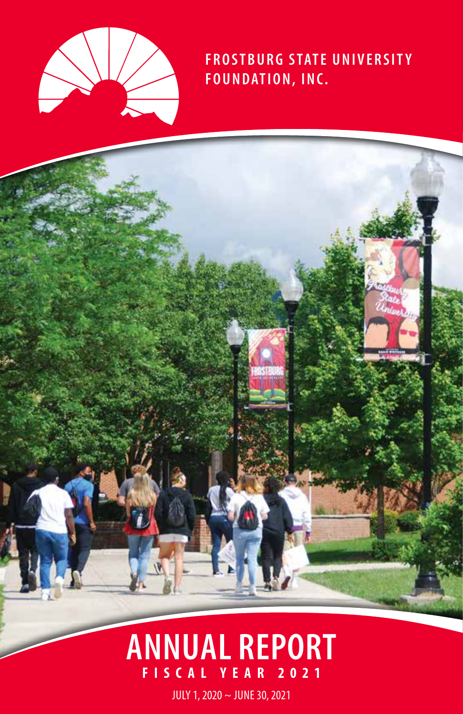

# **FROSTBURG STATE UNIVERSITY FOUNDATION, INC.**

# **FISCAL YEAR 2021 ANNUAL REPORT**

JULY 1, 2020 ~ JUNE 30, 2021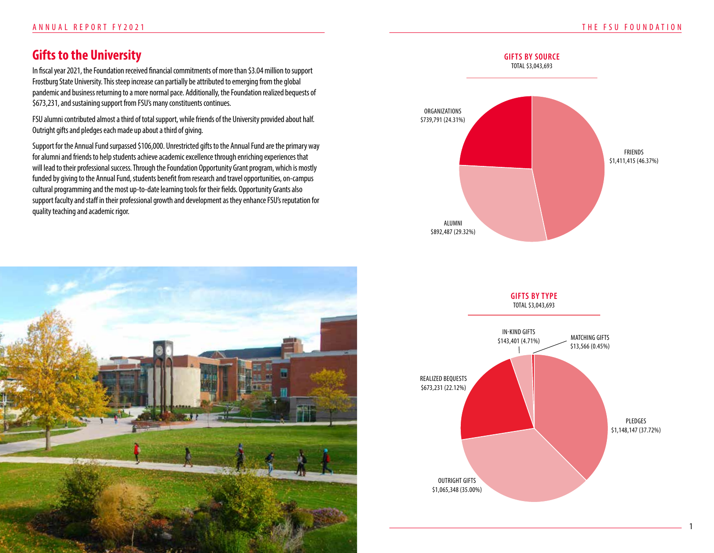1

# **Gifts to the University**

In fiscal year 2021, the Foundation received financial commitments of more than \$3.04 million to support Frostburg State University. This steep increase can partially be attributed to emerging from the global pandemic and business returning to a more normal pace. Additionally, the Foundation realized bequests of \$673,231, and sustaining support from FSU's many constituents continues.

FSU alumni contributed almost a third of total support, while friends of the University provided about half. Outright gifts and pledges each made up about a third of giving.

Support for the Annual Fund surpassed \$106,000. Unrestricted gifts to the Annual Fund are the primary way for alumni and friends to help students achieve academic excellence through enriching experiences that will lead to their professional success. Through the Foundation Opportunity Grant program, which is mostly funded by giving to the Annual Fund, students benefit from research and travel opportunities, on-campus cultural programming and the most up-to-date learning tools for their fields. Opportunity Grants also support faculty and staff in their professional growth and development as they enhance FSU's reputation for quality teaching and academic rigor.





**GIFTS BY TYPE** TOTAL \$3,043,693

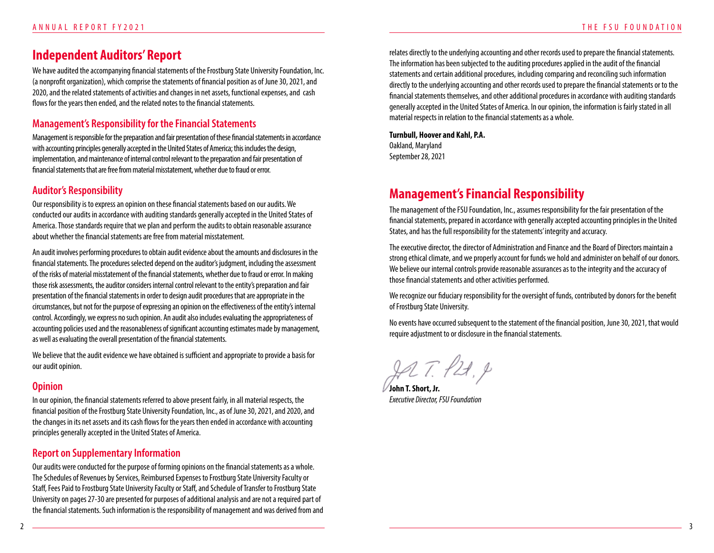### **Independent Auditors' Report**

We have audited the accompanying financial statements of the Frostburg State University Foundation, Inc. (a nonprofit organization), which comprise the statements of financial position as of June 30, 2021, and 2020, and the related statements of activities and changes in net assets, functional expenses, and cash flows for the years then ended, and the related notes to the financial statements.

### **Management's Responsibility for the Financial Statements**

Management is responsible for the preparation and fair presentation of these financial statements in accordance with accounting principles generally accepted in the United States of America; this includes the design, implementation, and maintenance of internal control relevant to the preparation and fair presentation of financial statements that are free from material misstatement, whether due to fraud or error.

### **Auditor's Responsibility**

Our responsibility is to express an opinion on these financial statements based on our audits. We conducted our audits in accordance with auditing standards generally accepted in the United States of America. Those standards require that we plan and perform the audits to obtain reasonable assurance about whether the financial statements are free from material misstatement.

An audit involves performing procedures to obtain audit evidence about the amounts and disclosures in the financial statements. The procedures selected depend on the auditor's judgment, including the assessment of the risks of material misstatement of the financial statements, whether due to fraud or error. In making those risk assessments, the auditor considers internal control relevant to the entity's preparation and fair presentation of the financial statements in order to design audit procedures that are appropriate in the circumstances, but not for the purpose of expressing an opinion on the effectiveness of the entity's internal control. Accordingly, we express no such opinion. An audit also includes evaluating the appropriateness of accounting policies used and the reasonableness of significant accounting estimates made by management, as well as evaluating the overall presentation of the financial statements.

We believe that the audit evidence we have obtained is sufficient and appropriate to provide a basis for our audit opinion.

### **Opinion**

In our opinion, the financial statements referred to above present fairly, in all material respects, the financial position of the Frostburg State University Foundation, Inc., as of June 30, 2021, and 2020, and the changes in its net assets and its cash flows for the years then ended in accordance with accounting principles generally accepted in the United States of America.

### **Report on Supplementary Information**

Our audits were conducted for the purpose of forming opinions on the financial statements as a whole. The Schedules of Revenues by Services, Reimbursed Expenses to Frostburg State University Faculty or Staff, Fees Paid to Frostburg State University Faculty or Staff, and Schedule of Transfer to Frostburg State University on pages 27-30 are presented for purposes of additional analysis and are not a required part of the financial statements. Such information is the responsibility of management and was derived from and

relates directly to the underlying accounting and other records used to prepare the financial statements. The information has been subjected to the auditing procedures applied in the audit of the financial statements and certain additional procedures, including comparing and reconciling such information directly to the underlying accounting and other records used to prepare the financial statements or to the financial statements themselves, and other additional procedures in accordance with auditing standards generally accepted in the United States of America. In our opinion, the information is fairly stated in all material respects in relation to the financial statements as a whole.

#### **Turnbull, Hoover and Kahl, P.A.**

Oakland, Maryland September 28, 2021

# **Management's Financial Responsibility**

The management of the FSU Foundation, Inc., assumes responsibility for the fair presentation of the financial statements, prepared in accordance with generally accepted accounting principles in the United States, and has the full responsibility for the statements' integrity and accuracy.

The executive director, the director of Administration and Finance and the Board of Directors maintain a strong ethical climate, and we properly account for funds we hold and administer on behalf of our donors. We believe our internal controls provide reasonable assurances as to the integrity and the accuracy of those financial statements and other activities performed.

We recognize our fiduciary responsibility for the oversight of funds, contributed by donors for the benefit of Frostburg State University.

No events have occurred subsequent to the statement of the financial position, June 30, 2021, that would require adjustment to or disclosure in the financial statements.

JA T. P21, P

**John T. Short, Jr.** *Executive Director, FSU Foundation*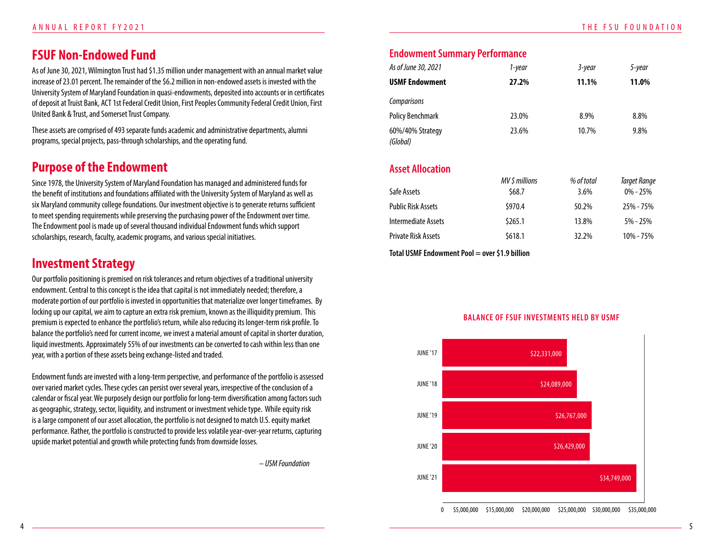# **FSUF Non-Endowed Fund**

As of June 30, 2021, Wilmington Trust had \$1.35 million under management with an annual market value increase of 23.01 percent. The remainder of the \$6.2 million in non-endowed assets is invested with the University System of Maryland Foundation in quasi-endowments, deposited into accounts or in certificates of deposit at Truist Bank, ACT 1st Federal Credit Union, First Peoples Community Federal Credit Union, First United Bank & Trust, and Somerset Trust Company.

These assets are comprised of 493 separate funds academic and administrative departments, alumni programs, special projects, pass-through scholarships, and the operating fund.

### **Purpose of the Endowment**

Since 1978, the University System of Maryland Foundation has managed and administered funds for the benefit of institutions and foundations affiliated with the University System of Maryland as well as six Maryland community college foundations. Our investment objective is to generate returns sufficient to meet spending requirements while preserving the purchasing power of the Endowment over time. The Endowment pool is made up of several thousand individual Endowment funds which support scholarships, research, faculty, academic programs, and various special initiatives.

# **Investment Strategy**

Our portfolio positioning is premised on risk tolerances and return objectives of a traditional university endowment. Central to this concept is the idea that capital is not immediately needed; therefore, a moderate portion of our portfolio is invested in opportunities that materialize over longer timeframes. By locking up our capital, we aim to capture an extra risk premium, known as the illiquidity premium. This premium is expected to enhance the portfolio's return, while also reducing its longer-term risk profile. To balance the portfolio's need for current income, we invest a material amount of capital in shorter duration, liquid investments. Approximately 55% of our investments can be converted to cash within less than one year, with a portion of these assets being exchange-listed and traded.

Endowment funds are invested with a long-term perspective, and performance of the portfolio is assessed over varied market cycles. These cycles can persist over several years, irrespective of the conclusion of a calendar or fiscal year. We purposely design our portfolio for long-term diversification among factors such as geographic, strategy, sector, liquidity, and instrument or investment vehicle type. While equity risk is a large component of our asset allocation, the portfolio is not designed to match U.S. equity market performance. Rather, the portfolio is constructed to provide less volatile year-over-year returns, capturing upside market potential and growth while protecting funds from downside losses.

– *USM Foundation*

### **Endowment Summary Performance**

| As of June 30, 2021          | 1-year | 3-year | 5-year |
|------------------------------|--------|--------|--------|
| <b>USMF Endowment</b>        | 27.2%  | 11.1%  | 11.0%  |
| Comparisons                  |        |        |        |
| <b>Policy Benchmark</b>      | 23.0%  | 8.9%   | 8.8%   |
| 60%/40% Strategy<br>(Global) | 23.6%  | 10.7%  | 9.8%   |

### **Asset Allocation**

|                            | MV \$ millions | % of total | Target Range |
|----------------------------|----------------|------------|--------------|
| Safe Assets                | \$68.7         | $3.6\%$    | $0\% - 25\%$ |
| <b>Public Risk Assets</b>  | \$970.4        | 50.2%      | 25% - 75%    |
| Intermediate Assets        | \$265.1        | 13.8%      | $5\% - 25\%$ |
| <b>Private Risk Assets</b> | \$618.1        | 32.2%      | 10% - 75%    |
|                            |                |            |              |

**Total USMF Endowment Pool = over \$1.9 billion**



#### **BALANCE OF FSUF INVESTMENTS HELD BY USMF**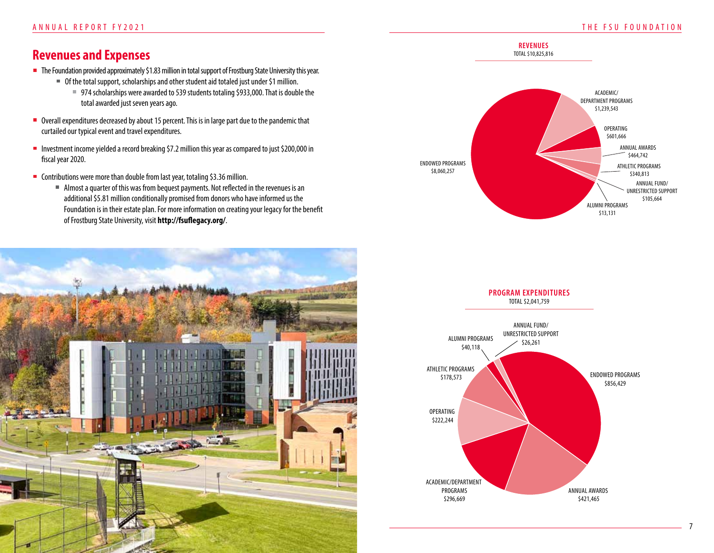# **Revenues and Expenses**

- The Foundation provided approximately \$1.83 million in total support of Frostburg State University this year.
	- Of the total support, scholarships and other student aid totaled just under \$1 million.
		- 974 scholarships were awarded to 539 students totaling \$933,000. That is double the total awarded just seven years ago.
- Overall expenditures decreased by about 15 percent. This is in large part due to the pandemic that curtailed our typical event and travel expenditures.
- Investment income yielded a record breaking \$7.2 million this year as compared to just \$200,000 in fiscal year 2020.
- Contributions were more than double from last year, totaling \$3.36 million.
	- Almost a quarter of this was from bequest payments. Not reflected in the revenues is an additional \$5.81 million conditionally promised from donors who have informed us the Foundation is in their estate plan. For more information on creating your legacy for the benefit of Frostburg State University, visit **http://fsuflegacy.org/**.





**REVENUES** TOTAL \$10,825,816

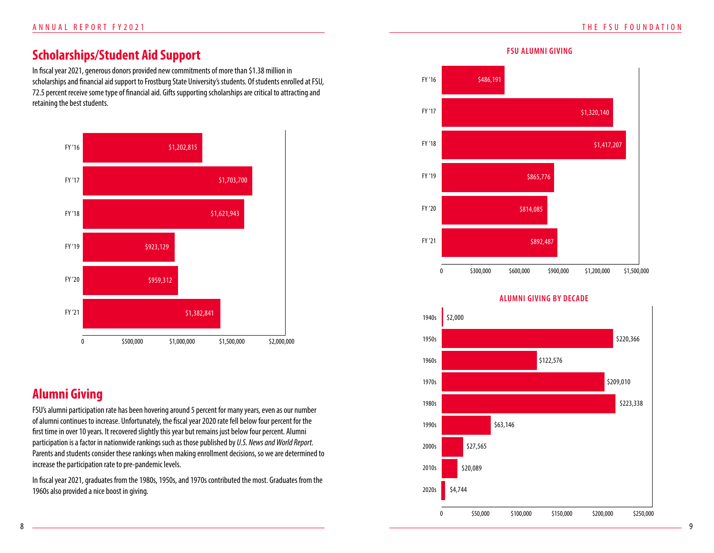# **Scholarships/Student Aid Support**

In fiscal year 2021, generous donors provided new commitments of more than \$1.38 million in scholarships and financial aid support to Frostburg State University's students. Of students enrolled at FSU, 72.5 percent receive some type of financial aid. Gifts supporting scholarships are critical to attracting and retaining the best students.



# **Alumni Giving**

FSU's alumni participation rate has been hovering around 5 percent for many years, even as our number of alumni continues to increase. Unfortunately, the fiscal year 2020 rate fell below four percent for the first time in over 10 years. It recovered slightly this year but remains just below four percent. Alumni participation is a factor in nationwide rankings such as those published by *U.S. News and World Report.* Parents and students consider these rankings when making enrollment decisions, so we are determined to increase the participation rate to pre-pandemic levels.

In fiscal year 2021, graduates from the 1980s, 1950s, and 1970s contributed the most. Graduates from the 1960s also provided a nice boost in giving.



#### **ALUMNI GIVING BY DECADE**

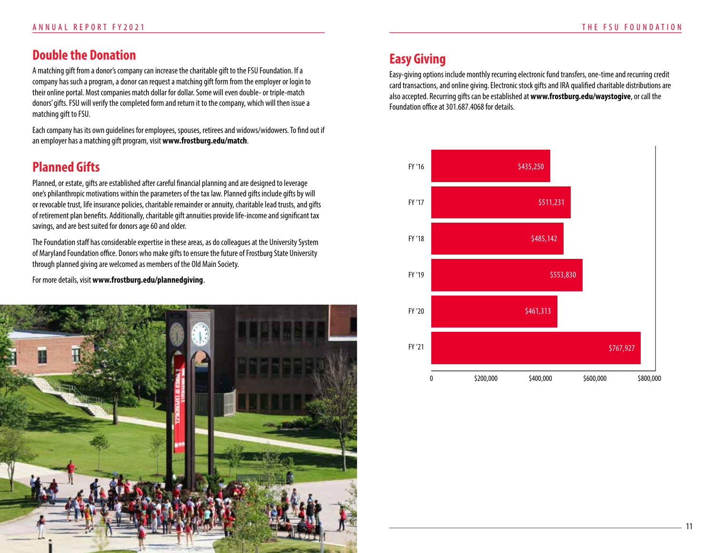# **Double the Donation**

A matching gift from a donor's company can increase the charitable gift to the FSU Foundation. If a company has such a program, a donor can request a matching gift form from the employer or login to their online portal. Most companies match dollar for dollar. Some will even double- or triple-match donors' gifts. FSU will verify the completed form and return it to the company, which will then issue a matching gift to FSU.

Each company has its own guidelines for employees, spouses, retirees and widows/widowers. To find out if an employer has a matching gift program, visit **www.frostburg.edu/match**.

# **Planned Gifts**

Planned, or estate, gifts are established after careful financial planning and are designed to leverage one's philanthropic motivations within the parameters of the tax law. Planned gifts include gifts by will or revocable trust, life insurance policies, charitable remainder or annuity, charitable lead trusts, and gifts of retirement plan benefits. Additionally, charitable gift annuities provide life-income and significant tax savings, and are best suited for donors age 60 and older.

The Foundation staff has considerable expertise in these areas, as do colleagues at the University System of Maryland Foundation office. Donors who make gifts to ensure the future of Frostburg State University through planned giving are welcomed as members of the Old Main Society.

For more details, visit **www.frostburg.edu/plannedgiving**.



# **Easy Giving**

Easy-giving options include monthly recurring electronic fund transfers, one-time and recurring credit card transactions, and online giving. Electronic stock gifts and IRA qualified charitable distributions are also accepted. Recurring gifts can be established at **www.frostburg.edu/waystogive**, or call the Foundation office at 301.687.4068 for details.

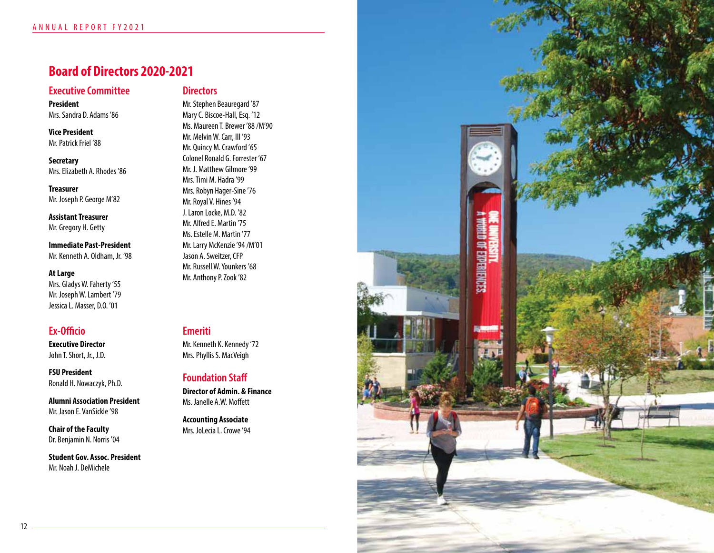### **Board of Directors 2020-2021**

### **Executive Committee**

**President** Mrs. Sandra D. Adams '86

**Vice President** Mr. Patrick Friel '88

**Secretary** Mrs. Elizabeth A. Rhodes '86

**Treasurer** Mr. Joseph P. George M'82

**Assistant Treasurer** Mr. Gregory H. Getty

**Immediate Past-President** Mr. Kenneth A. Oldham, Jr. '98

#### **At Large**

Mrs. Gladys W. Faherty '55 Mr. Joseph W. Lambert '79 Jessica L. Masser, D.O. '01

### **Ex-Officio**

**Executive Director** John T. Short, Jr., J.D.

**FSU President** Ronald H. Nowaczyk, Ph.D.

**Alumni Association President** Mr. Jason E. VanSickle '98

**Chair of the Faculty** Dr. Benjamin N. Norris '04

**Student Gov. Assoc. President** Mr. Noah J. DeMichele

### **Directors**

Mr. Stephen Beauregard '87 Mary C. Biscoe-Hall, Esq. '12 Ms. Maureen T. Brewer '88 /M'90 Mr. Melvin W. Carr, III '93 Mr. Quincy M. Crawford '65 Colonel Ronald G. Forrester '67 Mr. J. Matthew Gilmore '99 Mrs. Timi M. Hadra '99 Mrs. Robyn Hager-Sine '76 Mr. Royal V. Hines '94 J. Laron Locke, M.D. '82 Mr. Alfred E. Martin '75 Ms. Estelle M. Martin '77 Mr. Larry McKenzie '94 /M'01 Jason A. Sweitzer, CFP Mr. Russell W. Younkers '68 Mr. Anthony P. Zook '82

### **Emeriti**

Mr. Kenneth K. Kennedy '72 Mrs. Phyllis S. MacVeigh

### **Foundation Staff**

**Director of Admin. & Finance** Ms. Janelle A.W. Moffett

**Accounting Associate** Mrs. JoLecia L. Crowe '94